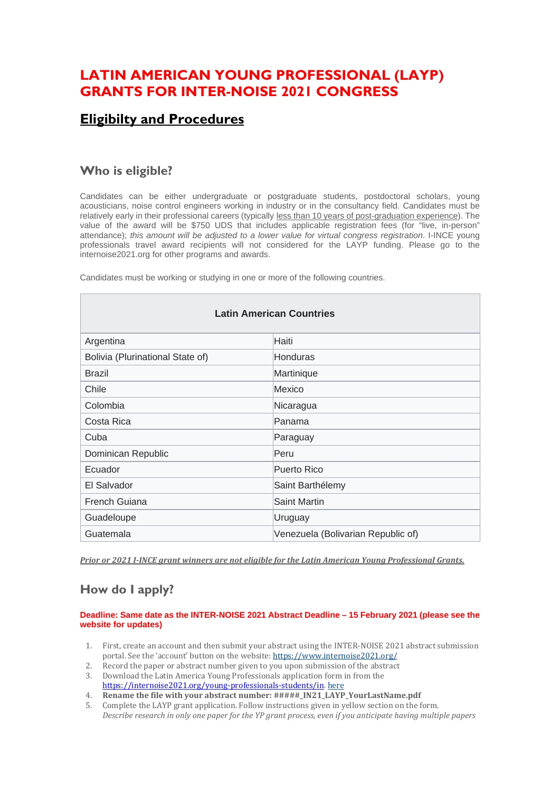## **LATIN AMERICAN YOUNG PROFESSIONAL (LAYP) GRANTS FOR INTER-NOISE 2021 CONGRESS**

### **Eligibilty and Procedures**

### **Who is eligible?**

Candidates can be either undergraduate or postgraduate students, postdoctoral scholars, young acousticians, noise control engineers working in industry or in the consultancy field. Candidates must be relatively early in their professional careers (typically less than 10 years of post-graduation experience). The value of the award will be \$750 UDS that includes applicable registration fees (for "live, in-person" attendance); *this amount will be adjusted to a lower value for virtual congress registration*. I-INCE young professionals travel award recipients will not considered for the LAYP funding. Please go to the internoise2021.org for other programs and awards.

Candidates must be working or studying in one or more of the following countries.

| <b>Latin American Countries</b>  |                                    |
|----------------------------------|------------------------------------|
| Argentina                        | Haiti                              |
| Bolivia (Plurinational State of) | <b>Honduras</b>                    |
| <b>Brazil</b>                    | Martinique                         |
| Chile                            | Mexico                             |
| Colombia                         | Nicaragua                          |
| Costa Rica                       | lPanama                            |
| Cuba                             | Paraguay                           |
| Dominican Republic               | Peru                               |
| Ecuador                          | Puerto Rico                        |
| El Salvador                      | Saint Barthélemy                   |
| French Guiana                    | Saint Martin                       |
| Guadeloupe                       | Uruguay                            |
| Guatemala                        | Venezuela (Bolivarian Republic of) |

*Prior or 2021 I-INCE grant winners are not eligible for the Latin American Young Professional Grants.*

# **How do I apply?**

#### **Deadline: Same date as the INTER-NOISE 2021 Abstract Deadline – 15 February 2021 (please see the website for updates)**

- 1. First, create an account and then submit your abstract using the INTER-NOISE 2021 abstract submission portal. See the 'account' button on the website: https://www.internoise2021.org/<br>Record the paper or abstract number given to you upon submission of the abstract
- 2. Record the paper or abstract number given to you upon submission of the abstract
- 3. Download the Latin America Young Professionals application form in from the [https://internoise2021.org/young-professionals-students/in.](https://internoise2021.org/young-professionals-students/in) here
- 4. **Rename the file with your abstract number: #####\_IN21\_LAYP\_YourLastName.pdf**
- 5. Complete the LAYP grant application. Follow instructions given in yellow section on the form. *Describe research in only one paper for the YP grant process, even if you anticipate having multiple papers*